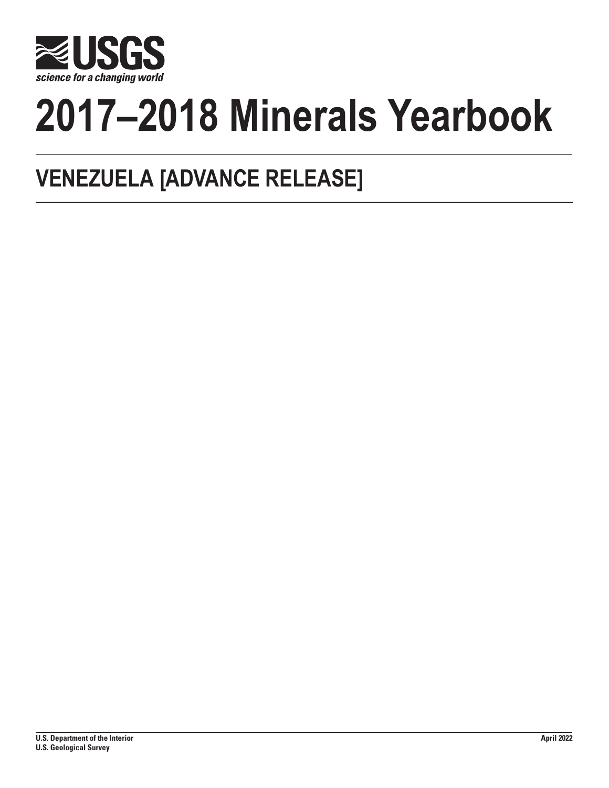

# **2017–2018 Minerals Yearbook**

## **VENEZUELA [ADVANCE RELEASE]**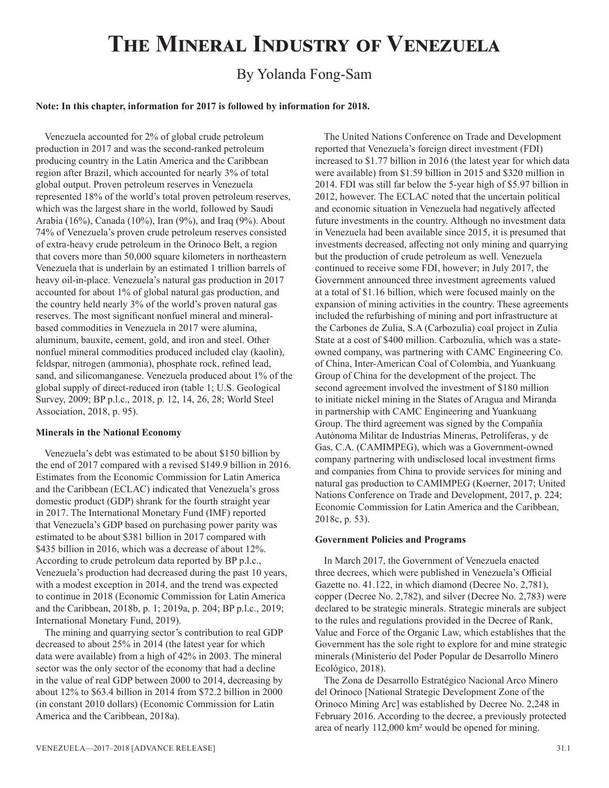## **The Mineral Industry of Venezuela**

### By Yolanda Fong-Sam

#### **Note: In this chapter, information for 2017 is followed by information for 2018.**

Venezuela accounted for 2% of global crude petroleum production in 2017 and was the second-ranked petroleum producing country in the Latin America and the Caribbean region after Brazil, which accounted for nearly 3% of total global output. Proven petroleum reserves in Venezuela represented 18% of the world's total proven petroleum reserves, which was the largest share in the world, followed by Saudi Arabia (16%), Canada (10%), Iran (9%), and Iraq (9%). About 74% of Venezuela's proven crude petroleum reserves consisted of extra-heavy crude petroleum in the Orinoco Belt, a region that covers more than 50,000 square kilometers in northeastern Venezuela that is underlain by an estimated 1 trillion barrels of heavy oil-in-place. Venezuela's natural gas production in 2017 accounted for about 1% of global natural gas production, and the country held nearly 3% of the world's proven natural gas reserves. The most significant nonfuel mineral and mineralbased commodities in Venezuela in 2017 were alumina, aluminum, bauxite, cement, gold, and iron and steel. Other nonfuel mineral commodities produced included clay (kaolin), feldspar, nitrogen (ammonia), phosphate rock, refined lead, sand, and silicomanganese. Venezuela produced about 1% of the global supply of direct-reduced iron (table 1; U.S. Geological Survey, 2009; BP p.l.c., 2018, p. 12, 14, 26, 28; World Steel Association, 2018, p. 95).

#### **Minerals in the National Economy**

Venezuela's debt was estimated to be about \$150 billion by the end of 2017 compared with a revised \$149.9 billion in 2016. Estimates from the Economic Commission for Latin America and the Caribbean (ECLAC) indicated that Venezuela's gross domestic product (GDP) shrank for the fourth straight year in 2017. The International Monetary Fund (IMF) reported that Venezuela's GDP based on purchasing power parity was estimated to be about \$381 billion in 2017 compared with \$435 billion in 2016, which was a decrease of about 12%. According to crude petroleum data reported by BP p.l.c., Venezuela's production had decreased during the past 10 years, with a modest exception in 2014, and the trend was expected to continue in 2018 (Economic Commission for Latin America and the Caribbean, 2018b, p. 1; 2019a, p. 204; BP p.l.c., 2019; International Monetary Fund, 2019).

The mining and quarrying sector's contribution to real GDP decreased to about 25% in 2014 (the latest year for which data were available) from a high of 42% in 2003. The mineral sector was the only sector of the economy that had a decline in the value of real GDP between 2000 to 2014, decreasing by about 12% to \$63.4 billion in 2014 from \$72.2 billion in 2000 (in constant 2010 dollars) (Economic Commission for Latin America and the Caribbean, 2018a).

The United Nations Conference on Trade and Development reported that Venezuela's foreign direct investment (FDI) increased to \$1.77 billion in 2016 (the latest year for which data were available) from \$1.59 billion in 2015 and \$320 million in 2014. FDI was still far below the 5-year high of \$5.97 billion in 2012, however. The ECLAC noted that the uncertain political and economic situation in Venezuela had negatively affected future investments in the country. Although no investment data in Venezuela had been available since 2015, it is presumed that investments decreased, affecting not only mining and quarrying but the production of crude petroleum as well. Venezuela continued to receive some FDI, however; in July 2017, the Government announced three investment agreements valued at a total of \$1.16 billion, which were focused mainly on the expansion of mining activities in the country. These agreements included the refurbishing of mining and port infrastructure at the Carbones de Zulia, S.A (Carbozulia) coal project in Zulia State at a cost of \$400 million. Carbozulia, which was a stateowned company, was partnering with CAMC Engineering Co. of China, Inter-American Coal of Colombia, and Yuankuang Group of China for the development of the project. The second agreement involved the investment of \$180 million to initiate nickel mining in the States of Aragua and Miranda in partnership with CAMC Engineering and Yuankuang Group. The third agreement was signed by the Compañía Autónoma Militar de Industrias Mineras, Petrolíferas, y de Gas, C.A. (CAMIMPEG), which was a Government-owned company partnering with undisclosed local investment firms and companies from China to provide services for mining and natural gas production to CAMIMPEG (Koerner, 2017; United Nations Conference on Trade and Development, 2017, p. 224; Economic Commission for Latin America and the Caribbean, 2018c, p. 53).

#### **Government Policies and Programs**

In March 2017, the Government of Venezuela enacted three decrees, which were published in Venezuela's Official Gazette no. 41.122, in which diamond (Decree No. 2,781), copper (Decree No. 2,782), and silver (Decree No. 2,783) were declared to be strategic minerals. Strategic minerals are subject to the rules and regulations provided in the Decree of Rank, Value and Force of the Organic Law, which establishes that the Government has the sole right to explore for and mine strategic minerals (Ministerio del Poder Popular de Desarrollo Minero Ecológico, 2018).

The Zona de Desarrollo Estratégico Nacional Arco Minero del Orinoco [National Strategic Development Zone of the Orinoco Mining Arc] was established by Decree No. 2,248 in February 2016. According to the decree, a previously protected area of nearly 112,000 km² would be opened for mining.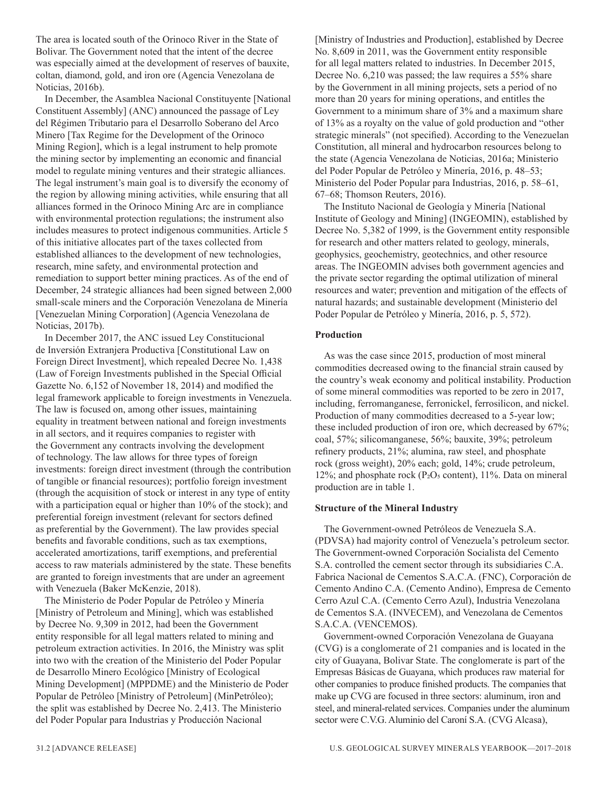The area is located south of the Orinoco River in the State of Bolivar. The Government noted that the intent of the decree was especially aimed at the development of reserves of bauxite, coltan, diamond, gold, and iron ore (Agencia Venezolana de Noticias, 2016b).

In December, the Asamblea Nacional Constituyente [National Constituent Assembly] (ANC) announced the passage of Ley del Régimen Tributario para el Desarrollo Soberano del Arco Minero [Tax Regime for the Development of the Orinoco Mining Region], which is a legal instrument to help promote the mining sector by implementing an economic and financial model to regulate mining ventures and their strategic alliances. The legal instrument's main goal is to diversify the economy of the region by allowing mining activities, while ensuring that all alliances formed in the Orinoco Mining Arc are in compliance with environmental protection regulations; the instrument also includes measures to protect indigenous communities. Article 5 of this initiative allocates part of the taxes collected from established alliances to the development of new technologies, research, mine safety, and environmental protection and remediation to support better mining practices. As of the end of December, 24 strategic alliances had been signed between 2,000 small-scale miners and the Corporación Venezolana de Minería [Venezuelan Mining Corporation] (Agencia Venezolana de Noticias, 2017b).

In December 2017, the ANC issued Ley Constitucional de Inversión Extranjera Productiva [Constitutional Law on Foreign Direct Investment], which repealed Decree No. 1,438 (Law of Foreign Investments published in the Special Official Gazette No. 6,152 of November 18, 2014) and modified the legal framework applicable to foreign investments in Venezuela. The law is focused on, among other issues, maintaining equality in treatment between national and foreign investments in all sectors, and it requires companies to register with the Government any contracts involving the development of technology. The law allows for three types of foreign investments: foreign direct investment (through the contribution of tangible or financial resources); portfolio foreign investment (through the acquisition of stock or interest in any type of entity with a participation equal or higher than 10% of the stock); and preferential foreign investment (relevant for sectors defined as preferential by the Government). The law provides special benefits and favorable conditions, such as tax exemptions, accelerated amortizations, tariff exemptions, and preferential access to raw materials administered by the state. These benefits are granted to foreign investments that are under an agreement with Venezuela (Baker McKenzie, 2018).

The Ministerio de Poder Popular de Petróleo y Minería [Ministry of Petroleum and Mining], which was established by Decree No. 9,309 in 2012, had been the Government entity responsible for all legal matters related to mining and petroleum extraction activities. In 2016, the Ministry was split into two with the creation of the Ministerio del Poder Popular de Desarrollo Minero Ecológico [Ministry of Ecological Mining Development] (MPPDME) and the Ministerio de Poder Popular de Petróleo [Ministry of Petroleum] (MinPetróleo); the split was established by Decree No. 2,413. The Ministerio del Poder Popular para Industrias y Producción Nacional

[Ministry of Industries and Production], established by Decree No. 8,609 in 2011, was the Government entity responsible for all legal matters related to industries. In December 2015, Decree No. 6,210 was passed; the law requires a 55% share by the Government in all mining projects, sets a period of no more than 20 years for mining operations, and entitles the Government to a minimum share of 3% and a maximum share of 13% as a royalty on the value of gold production and "other strategic minerals" (not specified). According to the Venezuelan Constitution, all mineral and hydrocarbon resources belong to the state (Agencia Venezolana de Noticias, 2016a; Ministerio del Poder Popular de Petróleo y Minería, 2016, p. 48–53; Ministerio del Poder Popular para Industrias, 2016, p. 58–61, 67–68; Thomson Reuters, 2016).

The Instituto Nacional de Geología y Minería [National Institute of Geology and Mining] (INGEOMIN), established by Decree No. 5,382 of 1999, is the Government entity responsible for research and other matters related to geology, minerals, geophysics, geochemistry, geotechnics, and other resource areas. The INGEOMIN advises both government agencies and the private sector regarding the optimal utilization of mineral resources and water; prevention and mitigation of the effects of natural hazards; and sustainable development (Ministerio del Poder Popular de Petróleo y Minería, 2016, p. 5, 572).

#### **Production**

As was the case since 2015, production of most mineral commodities decreased owing to the financial strain caused by the country's weak economy and political instability. Production of some mineral commodities was reported to be zero in 2017, including, ferromanganese, ferronickel, ferrosilicon, and nickel. Production of many commodities decreased to a 5-year low; these included production of iron ore, which decreased by 67%; coal, 57%; silicomanganese, 56%; bauxite, 39%; petroleum refinery products, 21%; alumina, raw steel, and phosphate rock (gross weight), 20% each; gold, 14%; crude petroleum, 12%; and phosphate rock (P2O $_5$  content), 11%. Data on mineral production are in table 1.

#### **Structure of the Mineral Industry**

The Government-owned Petróleos de Venezuela S.A. (PDVSA) had majority control of Venezuela's petroleum sector. The Government-owned Corporación Socialista del Cemento S.A. controlled the cement sector through its subsidiaries C.A. Fabrica Nacional de Cementos S.A.C.A. (FNC), Corporación de Cemento Andino C.A. (Cemento Andino), Empresa de Cemento Cerro Azul C.A. (Cemento Cerro Azul), Industria Venezolana de Cementos S.A. (INVECEM), and Venezolana de Cementos S.A.C.A. (VENCEMOS).

Government-owned Corporación Venezolana de Guayana (CVG) is a conglomerate of 21 companies and is located in the city of Guayana, Bolivar State. The conglomerate is part of the Empresas Básicas de Guayana, which produces raw material for other companies to produce finished products. The companies that make up CVG are focused in three sectors: aluminum, iron and steel, and mineral-related services. Companies under the aluminum sector were C.V.G. Aluminio del Caroní S.A. (CVG Alcasa),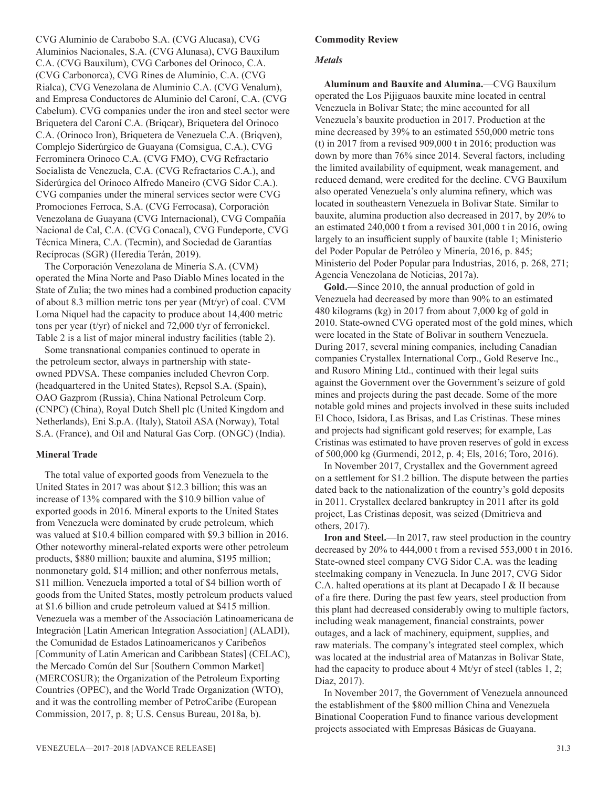CVG Aluminio de Carabobo S.A. (CVG Alucasa), CVG Aluminios Nacionales, S.A. (CVG Alunasa), CVG Bauxilum C.A. (CVG Bauxilum), CVG Carbones del Orinoco, C.A. (CVG Carbonorca), CVG Rines de Aluminio, C.A. (CVG Rialca), CVG Venezolana de Aluminio C.A. (CVG Venalum), and Empresa Conductores de Aluminio del Caroní, C.A. (CVG Cabelum). CVG companies under the iron and steel sector were Briquetera del Caroní C.A. (Briqcar), Briquetera del Orinoco C.A. (Orinoco Iron), Briquetera de Venezuela C.A. (Briqven), Complejo Siderúrgico de Guayana (Comsigua, C.A.), CVG Ferrominera Orinoco C.A. (CVG FMO), CVG Refractario Socialista de Venezuela, C.A. (CVG Refractarios C.A.), and Siderúrgica del Orinoco Alfredo Maneiro (CVG Sidor C.A.). CVG companies under the mineral services sector were CVG Promociones Ferroca, S.A. (CVG Ferrocasa), Corporación Venezolana de Guayana (CVG Internacional), CVG Compañía Nacional de Cal, C.A. (CVG Conacal), CVG Fundeporte, CVG Técnica Minera, C.A. (Tecmin), and Sociedad de Garantías Recíprocas (SGR) (Heredia Terán, 2019).

The Corporación Venezolana de Minería S.A. (CVM) operated the Mina Norte and Paso Diablo Mines located in the State of Zulia; the two mines had a combined production capacity of about 8.3 million metric tons per year (Mt/yr) of coal. CVM Loma Niquel had the capacity to produce about 14,400 metric tons per year (t/yr) of nickel and 72,000 t/yr of ferronickel. Table 2 is a list of major mineral industry facilities (table 2).

Some transnational companies continued to operate in the petroleum sector, always in partnership with stateowned PDVSA. These companies included Chevron Corp. (headquartered in the United States), Repsol S.A. (Spain), OAO Gazprom (Russia), China National Petroleum Corp. (CNPC) (China), Royal Dutch Shell plc (United Kingdom and Netherlands), Eni S.p.A. (Italy), Statoil ASA (Norway), Total S.A. (France), and Oil and Natural Gas Corp. (ONGC) (India).

#### **Mineral Trade**

The total value of exported goods from Venezuela to the United States in 2017 was about \$12.3 billion; this was an increase of 13% compared with the \$10.9 billion value of exported goods in 2016. Mineral exports to the United States from Venezuela were dominated by crude petroleum, which was valued at \$10.4 billion compared with \$9.3 billion in 2016. Other noteworthy mineral-related exports were other petroleum products, \$880 million; bauxite and alumina, \$195 million; nonmonetary gold, \$14 million; and other nonferrous metals, \$11 million. Venezuela imported a total of \$4 billion worth of goods from the United States, mostly petroleum products valued at \$1.6 billion and crude petroleum valued at \$415 million. Venezuela was a member of the Associación Latinoamericana de Integración [Latin American Integration Association] (ALADI), the Comunidad de Estados Latinoamericanos y Caribeños [Community of Latin American and Caribbean States] (CELAC), the Mercado Común del Sur [Southern Common Market] (MERCOSUR); the Organization of the Petroleum Exporting Countries (OPEC), and the World Trade Organization (WTO), and it was the controlling member of PetroCaribe (European Commission, 2017, p. 8; U.S. Census Bureau, 2018a, b).

#### *Metals*

**Aluminum and Bauxite and Alumina.**—CVG Bauxilum operated the Los Pijiguaos bauxite mine located in central Venezuela in Bolivar State; the mine accounted for all Venezuela's bauxite production in 2017. Production at the mine decreased by 39% to an estimated 550,000 metric tons (t) in 2017 from a revised 909,000 t in 2016; production was down by more than 76% since 2014. Several factors, including the limited availability of equipment, weak management, and reduced demand, were credited for the decline. CVG Bauxilum also operated Venezuela's only alumina refinery, which was located in southeastern Venezuela in Bolivar State. Similar to bauxite, alumina production also decreased in 2017, by 20% to an estimated 240,000 t from a revised 301,000 t in 2016, owing largely to an insufficient supply of bauxite (table 1; Ministerio del Poder Popular de Petróleo y Minería, 2016, p. 845; Ministerio del Poder Popular para Industrias, 2016, p. 268, 271; Agencia Venezolana de Noticias, 2017a).

**Gold.**—Since 2010, the annual production of gold in Venezuela had decreased by more than 90% to an estimated 480 kilograms (kg) in 2017 from about 7,000 kg of gold in 2010. State-owned CVG operated most of the gold mines, which were located in the State of Bolivar in southern Venezuela. During 2017, several mining companies, including Canadian companies Crystallex International Corp., Gold Reserve Inc., and Rusoro Mining Ltd., continued with their legal suits against the Government over the Government's seizure of gold mines and projects during the past decade. Some of the more notable gold mines and projects involved in these suits included El Choco, Isidora, Las Brisas, and Las Cristinas. These mines and projects had significant gold reserves; for example, Las Cristinas was estimated to have proven reserves of gold in excess of 500,000 kg (Gurmendi, 2012, p. 4; Els, 2016; Toro, 2016).

In November 2017, Crystallex and the Government agreed on a settlement for \$1.2 billion. The dispute between the parties dated back to the nationalization of the country's gold deposits in 2011. Crystallex declared bankruptcy in 2011 after its gold project, Las Cristinas deposit, was seized (Dmitrieva and others, 2017).

**Iron and Steel.**—In 2017, raw steel production in the country decreased by 20% to 444,000 t from a revised 553,000 t in 2016. State-owned steel company CVG Sidor C.A. was the leading steelmaking company in Venezuela. In June 2017, CVG Sidor C.A. halted operations at its plant at Decapado I & II because of a fire there. During the past few years, steel production from this plant had decreased considerably owing to multiple factors, including weak management, financial constraints, power outages, and a lack of machinery, equipment, supplies, and raw materials. The company's integrated steel complex, which was located at the industrial area of Matanzas in Bolivar State, had the capacity to produce about 4 Mt/yr of steel (tables 1, 2; Diaz, 2017).

In November 2017, the Government of Venezuela announced the establishment of the \$800 million China and Venezuela Binational Cooperation Fund to finance various development projects associated with Empresas Básicas de Guayana.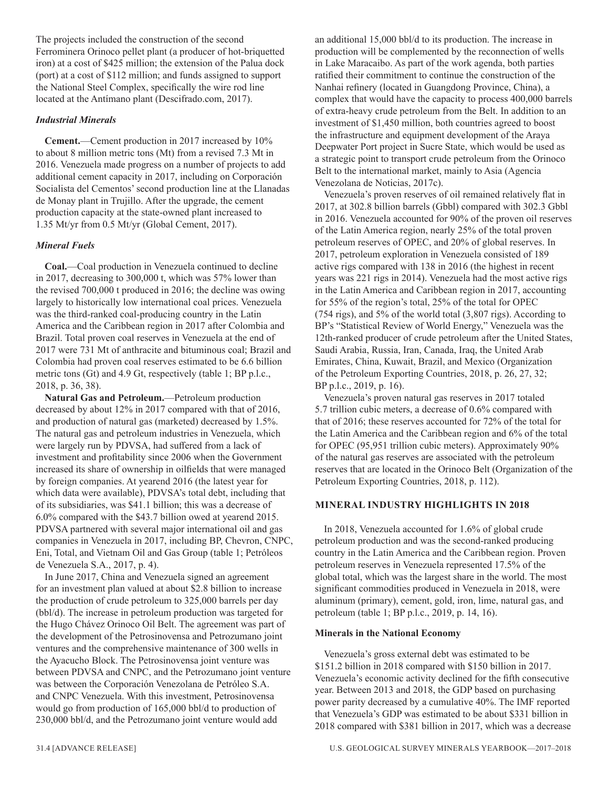The projects included the construction of the second Ferrominera Orinoco pellet plant (a producer of hot-briquetted iron) at a cost of \$425 million; the extension of the Palua dock (port) at a cost of \$112 million; and funds assigned to support the National Steel Complex, specifically the wire rod line located at the Antímano plant (Descifrado.com, 2017).

#### *Industrial Minerals*

**Cement.**—Cement production in 2017 increased by 10% to about 8 million metric tons (Mt) from a revised 7.3 Mt in 2016. Venezuela made progress on a number of projects to add additional cement capacity in 2017, including on Corporación Socialista del Cementos' second production line at the Llanadas de Monay plant in Trujillo. After the upgrade, the cement production capacity at the state-owned plant increased to 1.35 Mt/yr from 0.5 Mt/yr (Global Cement, 2017).

#### *Mineral Fuels*

**Coal.**—Coal production in Venezuela continued to decline in 2017, decreasing to 300,000 t, which was 57% lower than the revised 700,000 t produced in 2016; the decline was owing largely to historically low international coal prices. Venezuela was the third-ranked coal-producing country in the Latin America and the Caribbean region in 2017 after Colombia and Brazil. Total proven coal reserves in Venezuela at the end of 2017 were 731 Mt of anthracite and bituminous coal; Brazil and Colombia had proven coal reserves estimated to be 6.6 billion metric tons (Gt) and 4.9 Gt, respectively (table 1; BP p.l.c., 2018, p. 36, 38).

**Natural Gas and Petroleum.**—Petroleum production decreased by about 12% in 2017 compared with that of 2016, and production of natural gas (marketed) decreased by 1.5%. The natural gas and petroleum industries in Venezuela, which were largely run by PDVSA, had suffered from a lack of investment and profitability since 2006 when the Government increased its share of ownership in oilfields that were managed by foreign companies. At yearend 2016 (the latest year for which data were available), PDVSA's total debt, including that of its subsidiaries, was \$41.1 billion; this was a decrease of 6.0% compared with the \$43.7 billion owed at yearend 2015. PDVSA partnered with several major international oil and gas companies in Venezuela in 2017, including BP, Chevron, CNPC, Eni, Total, and Vietnam Oil and Gas Group (table 1; Petróleos de Venezuela S.A., 2017, p. 4).

In June 2017, China and Venezuela signed an agreement for an investment plan valued at about \$2.8 billion to increase the production of crude petroleum to 325,000 barrels per day (bbl/d). The increase in petroleum production was targeted for the Hugo Chávez Orinoco Oil Belt. The agreement was part of the development of the Petrosinovensa and Petrozumano joint ventures and the comprehensive maintenance of 300 wells in the Ayacucho Block. The Petrosinovensa joint venture was between PDVSA and CNPC, and the Petrozumano joint venture was between the Corporación Venezolana de Petróleo S.A. and CNPC Venezuela. With this investment, Petrosinovensa would go from production of 165,000 bbl/d to production of 230,000 bbl/d, and the Petrozumano joint venture would add

an additional 15,000 bbl/d to its production. The increase in production will be complemented by the reconnection of wells in Lake Maracaibo. As part of the work agenda, both parties ratified their commitment to continue the construction of the Nanhai refinery (located in Guangdong Province, China), a complex that would have the capacity to process 400,000 barrels of extra-heavy crude petroleum from the Belt. In addition to an investment of \$1,450 million, both countries agreed to boost the infrastructure and equipment development of the Araya Deepwater Port project in Sucre State, which would be used as a strategic point to transport crude petroleum from the Orinoco Belt to the international market, mainly to Asia (Agencia Venezolana de Noticias, 2017c).

Venezuela's proven reserves of oil remained relatively flat in 2017, at 302.8 billion barrels (Gbbl) compared with 302.3 Gbbl in 2016. Venezuela accounted for 90% of the proven oil reserves of the Latin America region, nearly 25% of the total proven petroleum reserves of OPEC, and 20% of global reserves. In 2017, petroleum exploration in Venezuela consisted of 189 active rigs compared with 138 in 2016 (the highest in recent years was 221 rigs in 2014). Venezuela had the most active rigs in the Latin America and Caribbean region in 2017, accounting for 55% of the region's total, 25% of the total for OPEC (754 rigs), and 5% of the world total (3,807 rigs). According to BP's "Statistical Review of World Energy," Venezuela was the 12th-ranked producer of crude petroleum after the United States, Saudi Arabia, Russia, Iran, Canada, Iraq, the United Arab Emirates, China, Kuwait, Brazil, and Mexico (Organization of the Petroleum Exporting Countries, 2018, p. 26, 27, 32; BP p.l.c., 2019, p. 16).

Venezuela's proven natural gas reserves in 2017 totaled 5.7 trillion cubic meters, a decrease of 0.6% compared with that of 2016; these reserves accounted for 72% of the total for the Latin America and the Caribbean region and 6% of the total for OPEC (95,951 trillion cubic meters). Approximately 90% of the natural gas reserves are associated with the petroleum reserves that are located in the Orinoco Belt (Organization of the Petroleum Exporting Countries, 2018, p. 112).

#### **MINERAL INDUSTRY HIGHLIGHTS IN 2018**

In 2018, Venezuela accounted for 1.6% of global crude petroleum production and was the second-ranked producing country in the Latin America and the Caribbean region. Proven petroleum reserves in Venezuela represented 17.5% of the global total, which was the largest share in the world. The most significant commodities produced in Venezuela in 2018, were aluminum (primary), cement, gold, iron, lime, natural gas, and petroleum (table 1; BP p.l.c., 2019, p. 14, 16).

#### **Minerals in the National Economy**

Venezuela's gross external debt was estimated to be \$151.2 billion in 2018 compared with \$150 billion in 2017. Venezuela's economic activity declined for the fifth consecutive year. Between 2013 and 2018, the GDP based on purchasing power parity decreased by a cumulative 40%. The IMF reported that Venezuela's GDP was estimated to be about \$331 billion in 2018 compared with \$381 billion in 2017, which was a decrease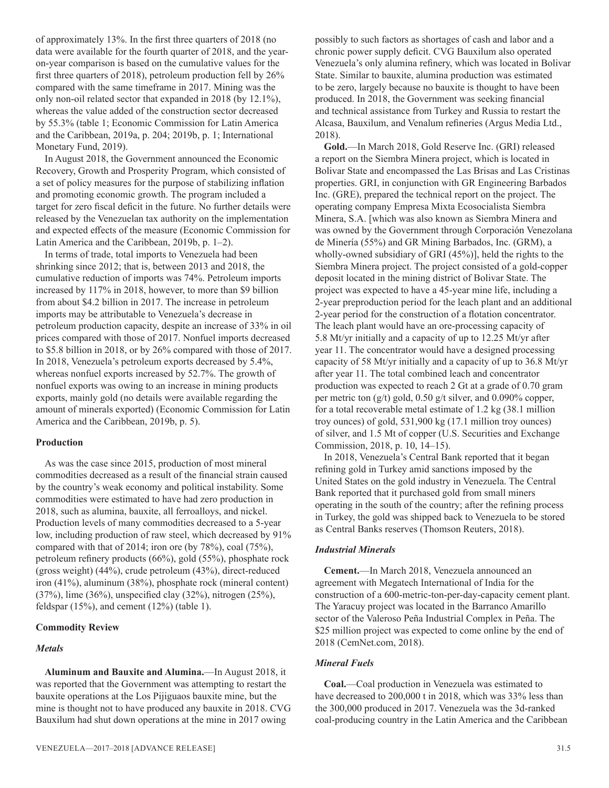of approximately 13%. In the first three quarters of 2018 (no data were available for the fourth quarter of 2018, and the yearon-year comparison is based on the cumulative values for the first three quarters of 2018), petroleum production fell by 26% compared with the same timeframe in 2017. Mining was the only non-oil related sector that expanded in 2018 (by 12.1%), whereas the value added of the construction sector decreased by 55.3% (table 1; Economic Commission for Latin America and the Caribbean, 2019a, p. 204; 2019b, p. 1; International Monetary Fund, 2019).

In August 2018, the Government announced the Economic Recovery, Growth and Prosperity Program, which consisted of a set of policy measures for the purpose of stabilizing inflation and promoting economic growth. The program included a target for zero fiscal deficit in the future. No further details were released by the Venezuelan tax authority on the implementation and expected effects of the measure (Economic Commission for Latin America and the Caribbean, 2019b, p. 1–2).

In terms of trade, total imports to Venezuela had been shrinking since 2012; that is, between 2013 and 2018, the cumulative reduction of imports was 74%. Petroleum imports increased by 117% in 2018, however, to more than \$9 billion from about \$4.2 billion in 2017. The increase in petroleum imports may be attributable to Venezuela's decrease in petroleum production capacity, despite an increase of 33% in oil prices compared with those of 2017. Nonfuel imports decreased to \$5.8 billion in 2018, or by 26% compared with those of 2017. In 2018, Venezuela's petroleum exports decreased by 5.4%, whereas nonfuel exports increased by 52.7%. The growth of nonfuel exports was owing to an increase in mining products exports, mainly gold (no details were available regarding the amount of minerals exported) (Economic Commission for Latin America and the Caribbean, 2019b, p. 5).

#### **Production**

As was the case since 2015, production of most mineral commodities decreased as a result of the financial strain caused by the country's weak economy and political instability. Some commodities were estimated to have had zero production in 2018, such as alumina, bauxite, all ferroalloys, and nickel. Production levels of many commodities decreased to a 5-year low, including production of raw steel, which decreased by 91% compared with that of 2014; iron ore (by 78%), coal (75%), petroleum refinery products (66%), gold (55%), phosphate rock (gross weight) (44%), crude petroleum (43%), direct-reduced iron (41%), aluminum (38%), phosphate rock (mineral content) (37%), lime (36%), unspecified clay (32%), nitrogen (25%), feldspar (15%), and cement (12%) (table 1).

#### **Commodity Review**

#### *Metals*

**Aluminum and Bauxite and Alumina.**—In August 2018, it was reported that the Government was attempting to restart the bauxite operations at the Los Pijiguaos bauxite mine, but the mine is thought not to have produced any bauxite in 2018. CVG Bauxilum had shut down operations at the mine in 2017 owing

possibly to such factors as shortages of cash and labor and a chronic power supply deficit. CVG Bauxilum also operated Venezuela's only alumina refinery, which was located in Bolivar State. Similar to bauxite, alumina production was estimated to be zero, largely because no bauxite is thought to have been produced. In 2018, the Government was seeking financial and technical assistance from Turkey and Russia to restart the Alcasa, Bauxilum, and Venalum refineries (Argus Media Ltd., 2018).

**Gold.**—In March 2018, Gold Reserve Inc. (GRI) released a report on the Siembra Minera project, which is located in Bolivar State and encompassed the Las Brisas and Las Cristinas properties. GRI, in conjunction with GR Engineering Barbados Inc. (GRE), prepared the technical report on the project. The operating company Empresa Mixta Ecosocialista Siembra Minera, S.A. [which was also known as Siembra Minera and was owned by the Government through Corporación Venezolana de Minería (55%) and GR Mining Barbados, Inc. (GRM), a wholly-owned subsidiary of GRI (45%)], held the rights to the Siembra Minera project. The project consisted of a gold-copper deposit located in the mining district of Bolivar State. The project was expected to have a 45-year mine life, including a 2-year preproduction period for the leach plant and an additional 2-year period for the construction of a flotation concentrator. The leach plant would have an ore-processing capacity of 5.8 Mt/yr initially and a capacity of up to 12.25 Mt/yr after year 11. The concentrator would have a designed processing capacity of 58 Mt/yr initially and a capacity of up to 36.8 Mt/yr after year 11. The total combined leach and concentrator production was expected to reach 2 Gt at a grade of 0.70 gram per metric ton (g/t) gold, 0.50 g/t silver, and 0.090% copper, for a total recoverable metal estimate of 1.2 kg (38.1 million troy ounces) of gold, 531,900 kg (17.1 million troy ounces) of silver, and 1.5 Mt of copper (U.S. Securities and Exchange Commission, 2018, p. 10, 14–15).

In 2018, Venezuela's Central Bank reported that it began refining gold in Turkey amid sanctions imposed by the United States on the gold industry in Venezuela. The Central Bank reported that it purchased gold from small miners operating in the south of the country; after the refining process in Turkey, the gold was shipped back to Venezuela to be stored as Central Banks reserves (Thomson Reuters, 2018).

#### *Industrial Minerals*

**Cement.**—In March 2018, Venezuela announced an agreement with Megatech International of India for the construction of a 600-metric-ton-per-day-capacity cement plant. The Yaracuy project was located in the Barranco Amarillo sector of the Valeroso Peña Industrial Complex in Peña. The \$25 million project was expected to come online by the end of 2018 (CemNet.com, 2018).

#### *Mineral Fuels*

**Coal.**—Coal production in Venezuela was estimated to have decreased to 200,000 t in 2018, which was 33% less than the 300,000 produced in 2017. Venezuela was the 3d-ranked coal-producing country in the Latin America and the Caribbean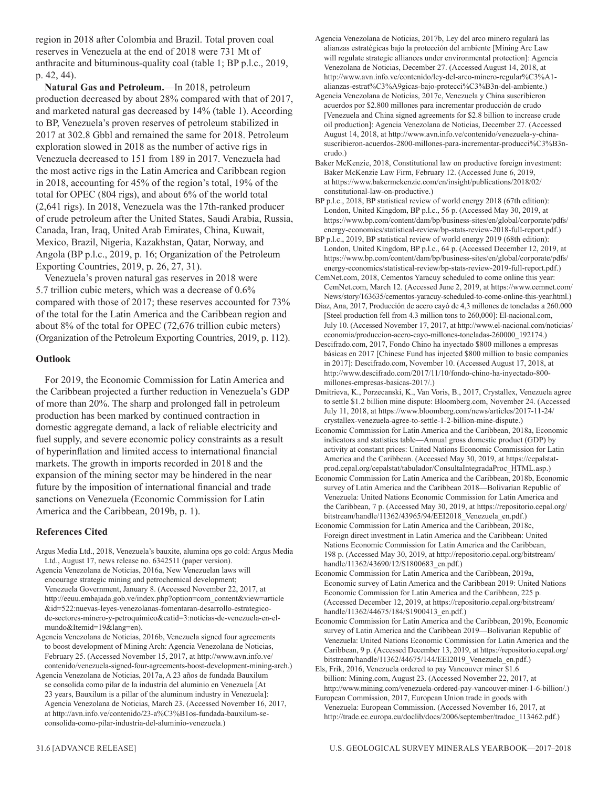region in 2018 after Colombia and Brazil. Total proven coal reserves in Venezuela at the end of 2018 were 731 Mt of anthracite and bituminous-quality coal (table 1; BP p.l.c., 2019, p. 42, 44).

**Natural Gas and Petroleum.**—In 2018, petroleum production decreased by about 28% compared with that of 2017, and marketed natural gas decreased by 14% (table 1). According to BP, Venezuela's proven reserves of petroleum stabilized in 2017 at 302.8 Gbbl and remained the same for 2018. Petroleum exploration slowed in 2018 as the number of active rigs in Venezuela decreased to 151 from 189 in 2017. Venezuela had the most active rigs in the Latin America and Caribbean region in 2018, accounting for 45% of the region's total, 19% of the total for OPEC (804 rigs), and about 6% of the world total (2,641 rigs). In 2018, Venezuela was the 17th-ranked producer of crude petroleum after the United States, Saudi Arabia, Russia, Canada, Iran, Iraq, United Arab Emirates, China, Kuwait, Mexico, Brazil, Nigeria, Kazakhstan, Qatar, Norway, and Angola (BP p.l.c., 2019, p. 16; Organization of the Petroleum Exporting Countries, 2019, p. 26, 27, 31).

Venezuela's proven natural gas reserves in 2018 were 5.7 trillion cubic meters, which was a decrease of 0.6% compared with those of 2017; these reserves accounted for 73% of the total for the Latin America and the Caribbean region and about 8% of the total for OPEC (72,676 trillion cubic meters) (Organization of the Petroleum Exporting Countries, 2019, p. 112).

#### **Outlook**

For 2019, the Economic Commission for Latin America and the Caribbean projected a further reduction in Venezuela's GDP of more than 20%. The sharp and prolonged fall in petroleum production has been marked by continued contraction in domestic aggregate demand, a lack of reliable electricity and fuel supply, and severe economic policy constraints as a result of hyperinflation and limited access to international financial markets. The growth in imports recorded in 2018 and the expansion of the mining sector may be hindered in the near future by the imposition of international financial and trade sanctions on Venezuela (Economic Commission for Latin America and the Caribbean, 2019b, p. 1).

#### **References Cited**

Argus Media Ltd., 2018, Venezuela's bauxite, alumina ops go cold: Argus Media Ltd., August 17, news release no. 6342511 (paper version).

Agencia Venezolana de Noticias, 2016a, New Venezuelan laws will encourage strategic mining and petrochemical development; Venezuela Government, January 8. (Accessed November 22, 2017, at http://eeuu.embajada.gob.ve/index.php?option=com\_content&view=article &id=522:nuevas-leyes-venezolanas-fomentaran-desarrollo-estrategicode-sectores-minero-y-petroquimico&catid=3:noticias-de-venezuela-en-elmundo&Itemid=19&lang=en).

Agencia Venezolana de Noticias, 2016b, Venezuela signed four agreements to boost development of Mining Arch: Agencia Venezolana de Noticias, February 25. (Accessed November 15, 2017, at http://www.avn.info.ve/ contenido/venezuela-signed-four-agreements-boost-development-mining-arch.)

Agencia Venezolana de Noticias, 2017a, A 23 años de fundada Bauxilum se consolida como pilar de la industria del aluminio en Venezuela [At 23 years, Bauxilum is a pillar of the aluminum industry in Venezuela]: Agencia Venezolana de Noticias, March 23. (Accessed November 16, 2017, at http://avn.info.ve/contenido/23-a%C3%B1os-fundada-bauxilum-seconsolida-como-pilar-industria-del-aluminio-venezuela.)

Agencia Venezolana de Noticias, 2017c, Venezuela y China suscribieron acuerdos por \$2.800 millones para incrementar producción de crudo [Venezuela and China signed agreements for \$2.8 billion to increase crude oil production]: Agencia Venezolana de Noticias, December 27. (Accessed August 14, 2018, at http://www.avn.info.ve/contenido/venezuela-y-chinasuscribieron-acuerdos-2800-millones-para-incrementar-producci%C3%B3ncrudo.)

Baker McKenzie, 2018, Constitutional law on productive foreign investment: Baker McKenzie Law Firm, February 12. (Accessed June 6, 2019, at https://www.bakermckenzie.com/en/insight/publications/2018/02/ constitutional-law-on-productive.)

BP p.l.c., 2018, BP statistical review of world energy 2018 (67th edition): London, United Kingdom, BP p.l.c., 56 p. (Accessed May 30, 2019, at https://www.bp.com/content/dam/bp/business-sites/en/global/corporate/pdfs/ energy-economics/statistical-review/bp-stats-review-2018-full-report.pdf.)

BP p.l.c., 2019, BP statistical review of world energy 2019 (68th edition): London, United Kingdom, BP p.l.c., 64 p. (Accessed December 12, 2019, at https://www.bp.com/content/dam/bp/business-sites/en/global/corporate/pdfs/ energy-economics/statistical-review/bp-stats-review-2019-full-report.pdf.)

CemNet.com, 2018, Cementos Yaracuy scheduled to come online this year: CemNet.com, March 12. (Accessed June 2, 2019, at https://www.cemnet.com/ News/story/163635/cementos-yaracuy-scheduled-to-come-online-this-year.html.)

Diaz, Ana, 2017, Producción de acero cayó de 4,3 millones de toneladas a 260.000 [Steel production fell from 4.3 million tons to 260,000]: El-nacional.com, July 10. (Accessed November 17, 2017, at http://www.el-nacional.com/noticias/ economia/produccion-acero-cayo-millones-toneladas-260000\_192174.)

Descifrado.com, 2017, Fondo Chino ha inyectado \$800 millones a empresas básicas en 2017 [Chinese Fund has injected \$800 million to basic companies in 2017]: Descifrado.com, November 10. (Accessed August 17, 2018, at http://www.descifrado.com/2017/11/10/fondo-chino-ha-inyectado-800 millones-empresas-basicas-2017/.)

Dmitrieva, K., Porzecanski, K., Van Voris, B., 2017, Crystallex, Venezuela agree to settle \$1.2 billion mine dispute: Bloomberg.com, November 24. (Accessed July 11, 2018, at https://www.bloomberg.com/news/articles/2017-11-24/ crystallex-venezuela-agree-to-settle-1-2-billion-mine-dispute.)

Economic Commission for Latin America and the Caribbean, 2018a, Economic indicators and statistics table—Annual gross domestic product (GDP) by activity at constant prices: United Nations Economic Commission for Latin America and the Caribbean. (Accessed May 30, 2019, at https://cepalstatprod.cepal.org/cepalstat/tabulador/ConsultaIntegradaProc\_HTML.asp.)

- Economic Commission for Latin America and the Caribbean, 2018b, Economic survey of Latin America and the Caribbean 2018—Bolivarian Republic of Venezuela: United Nations Economic Commission for Latin America and the Caribbean, 7 p. (Accessed May 30, 2019, at https://repositorio.cepal.org/ bitstream/handle/11362/43965/94/EEI2018 Venezuela en.pdf.)
- Economic Commission for Latin America and the Caribbean, 2018c, Foreign direct investment in Latin America and the Caribbean: United Nations Economic Commission for Latin America and the Caribbean, 198 p. (Accessed May 30, 2019, at http://repositorio.cepal.org/bitstream/ handle/11362/43690/12/S1800683\_en.pdf.)

Economic Commission for Latin America and the Caribbean, 2019a, Economic survey of Latin America and the Caribbean 2019: United Nations Economic Commission for Latin America and the Caribbean, 225 p. (Accessed December 12, 2019, at https://repositorio.cepal.org/bitstream/ handle/11362/44675/184/S1900413\_en.pdf.)

Economic Commission for Latin America and the Caribbean, 2019b, Economic survey of Latin America and the Caribbean 2019—Bolivarian Republic of Venezuela: United Nations Economic Commission for Latin America and the Caribbean, 9 p. (Accessed December 13, 2019, at https://repositorio.cepal.org/ bitstream/handle/11362/44675/144/EEI2019 Venezuela en.pdf.)

Els, Frik, 2016, Venezuela ordered to pay Vancouver miner \$1.6 billion: Mining.com, August 23. (Accessed November 22, 2017, at http://www.mining.com/venezuela-ordered-pay-vancouver-miner-1-6-billion/.)

European Commission, 2017, European Union trade in goods with Venezuela: European Commission. (Accessed November 16, 2017, at http://trade.ec.europa.eu/doclib/docs/2006/september/tradoc\_113462.pdf.)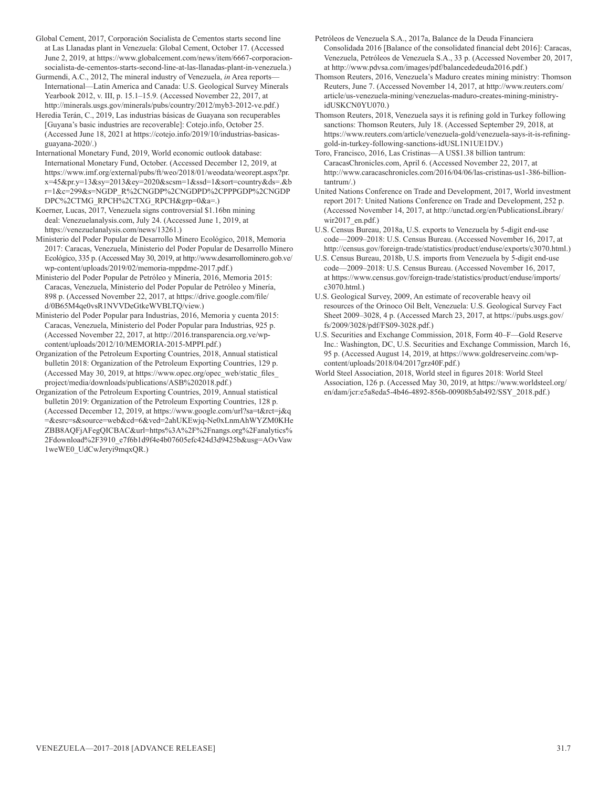Global Cement, 2017, Corporación Socialista de Cementos starts second line at Las Llanadas plant in Venezuela: Global Cement, October 17. (Accessed June 2, 2019, at https://www.globalcement.com/news/item/6667-corporacionsocialista-de-cementos-starts-second-line-at-las-llanadas-plant-in-venezuela.)

Gurmendi, A.C., 2012, The mineral industry of Venezuela, *in* Area reports— International—Latin America and Canada: U.S. Geological Survey Minerals Yearbook 2012, v. III, p. 15.1–15.9. (Accessed November 22, 2017, at http://minerals.usgs.gov/minerals/pubs/country/2012/myb3-2012-ve.pdf.)

Heredia Terán, C., 2019, Las industrias básicas de Guayana son recuperables [Guyana's basic industries are recoverable]: Cotejo.info, October 25. (Accessed June 18, 2021 at https://cotejo.info/2019/10/industrias-basicasguayana-2020/.)

International Monetary Fund, 2019, World economic outlook database: International Monetary Fund, October. (Accessed December 12, 2019, at https://www.imf.org/external/pubs/ft/weo/2018/01/weodata/weorept.aspx?pr. x=45&pr.y=13&sy=2013&ey=2020&scsm=1&ssd=1&sort=country&ds=.&b r=1&c=299&s=NGDP\_R%2CNGDP%2CNGDPD%2CPPPGDP%2CNGDP DPC%2CTMG\_RPCH%2CTXG\_RPCH&grp=0&a=.)

Koerner, Lucas, 2017, Venezuela signs controversial \$1.16bn mining deal: Venezuelanalysis.com, July 24. (Accessed June 1, 2019, at https://venezuelanalysis.com/news/13261.)

Ministerio del Poder Popular de Desarrollo Minero Ecológico, 2018, Memoria 2017: Caracas, Venezuela, Ministerio del Poder Popular de Desarrollo Minero Ecológico, 335 p. (Accessed May 30, 2019, at http://www.desarrollominero.gob.ve/ wp-content/uploads/2019/02/memoria-mppdme-2017.pdf.)

Ministerio del Poder Popular de Petróleo y Minería, 2016, Memoria 2015: Caracas, Venezuela, Ministerio del Poder Popular de Petróleo y Minería, 898 p. (Accessed November 22, 2017, at https://drive.google.com/file/ d/0B65M4qe0vsR1NVVDeGtkeWVBLTQ/view.)

Ministerio del Poder Popular para Industrias, 2016, Memoria y cuenta 2015: Caracas, Venezuela, Ministerio del Poder Popular para Industrias, 925 p. (Accessed November 22, 2017, at http://2016.transparencia.org.ve/wpcontent/uploads/2012/10/MEMORIA-2015-MPPI.pdf.)

Organization of the Petroleum Exporting Countries, 2018, Annual statistical bulletin 2018: Organization of the Petroleum Exporting Countries, 129 p. (Accessed May 30, 2019, at https://www.opec.org/opec\_web/static\_files project/media/downloads/publications/ASB%202018.pdf.)

Organization of the Petroleum Exporting Countries, 2019, Annual statistical bulletin 2019: Organization of the Petroleum Exporting Countries, 128 p. (Accessed December 12, 2019, at https://www.google.com/url?sa=t&rct=j&q =&esrc=s&source=web&cd=6&ved=2ahUKEwjq-Ne0xLnmAhWYZM0KHe ZBB8AQFjAFegQICBAC&url=https%3A%2F%2Fnangs.org%2Fanalytics% 2Fdownload%2F3910\_e7f6b1d9f4e4b07605efc424d3d9425b&usg=AOvVaw 1weWE0\_UdCwJeryi9mqxQR.)

Petróleos de Venezuela S.A., 2017a, Balance de la Deuda Financiera Consolidada 2016 [Balance of the consolidated financial debt 2016]: Caracas, Venezuela, Petróleos de Venezuela S.A., 33 p. (Accessed November 20, 2017, at http://www.pdvsa.com/images/pdf/balancededeuda2016.pdf.)

Thomson Reuters, 2016, Venezuela's Maduro creates mining ministry: Thomson Reuters, June 7. (Accessed November 14, 2017, at http://www.reuters.com/ article/us-venezuela-mining/venezuelas-maduro-creates-mining-ministryidUSKCN0YU070.)

Thomson Reuters, 2018, Venezuela says it is refining gold in Turkey following sanctions: Thomson Reuters, July 18. (Accessed September 29, 2018, at https://www.reuters.com/article/venezuela-gold/venezuela-says-it-is-refininggold-in-turkey-following-sanctions-idUSL1N1UE1DV.)

Toro, Francisco, 2016, Las Cristinas—A US\$1.38 billion tantrum: CaracasChronicles.com, April 6. (Accessed November 22, 2017, at http://www.caracaschronicles.com/2016/04/06/las-cristinas-us1-386-billiontantrum/.)

United Nations Conference on Trade and Development, 2017, World investment report 2017: United Nations Conference on Trade and Development, 252 p. (Accessed November 14, 2017, at http://unctad.org/en/PublicationsLibrary/ wir2017\_en.pdf.)

U.S. Census Bureau, 2018a, U.S. exports to Venezuela by 5-digit end-use code—2009–2018: U.S. Census Bureau. (Accessed November 16, 2017, at http://census.gov/foreign-trade/statistics/product/enduse/exports/c3070.html.)

U.S. Census Bureau, 2018b, U.S. imports from Venezuela by 5-digit end-use code—2009–2018: U.S. Census Bureau. (Accessed November 16, 2017, at https://www.census.gov/foreign-trade/statistics/product/enduse/imports/ c3070.html.)

U.S. Geological Survey, 2009, An estimate of recoverable heavy oil resources of the Orinoco Oil Belt, Venezuela: U.S. Geological Survey Fact Sheet 2009–3028, 4 p. (Accessed March 23, 2017, at https://pubs.usgs.gov/ fs/2009/3028/pdf/FS09-3028.pdf.)

U.S. Securities and Exchange Commission, 2018, Form 40–F—Gold Reserve Inc.: Washington, DC, U.S. Securities and Exchange Commission, March 16, 95 p. (Accessed August 14, 2019, at https://www.goldreserveinc.com/wpcontent/uploads/2018/04/2017grz40F.pdf.)

World Steel Association, 2018, World steel in figures 2018: World Steel Association, 126 p. (Accessed May 30, 2019, at https://www.worldsteel.org/ en/dam/jcr:e5a8eda5-4b46-4892-856b-00908b5ab492/SSY\_2018.pdf.)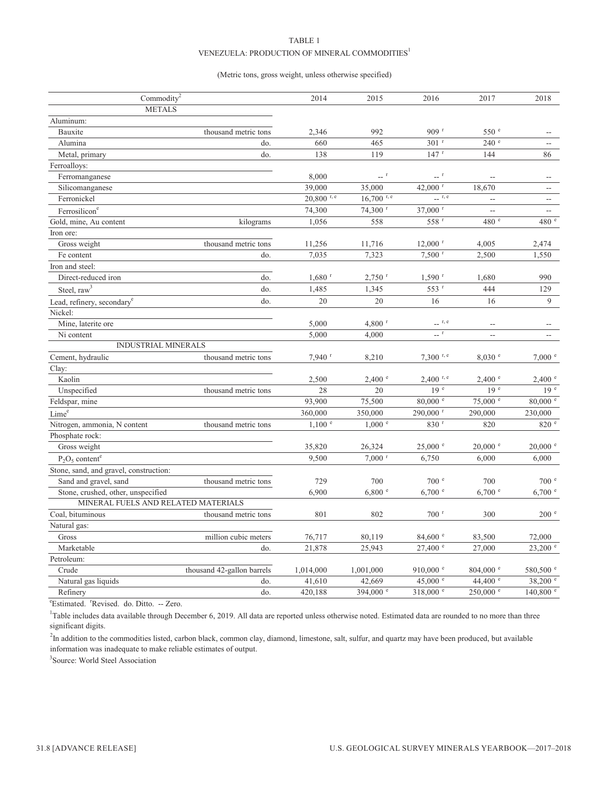#### TABLE 1 VENEZUELA: PRODUCTION OF MINERAL COMMODITIES $^{\rm l}$

#### (Metric tons, gross weight, unless otherwise specified)

| Commodity <sup>2</sup>                 |                            | 2014                 | 2015                 | 2016                                                                                     | 2017                     | 2018                     |
|----------------------------------------|----------------------------|----------------------|----------------------|------------------------------------------------------------------------------------------|--------------------------|--------------------------|
| <b>METALS</b>                          |                            |                      |                      |                                                                                          |                          |                          |
| Aluminum:                              |                            |                      |                      |                                                                                          |                          |                          |
| Bauxite                                | thousand metric tons       | 2,346                | 992                  | 909 <sup>r</sup>                                                                         | 550 <sup>e</sup>         |                          |
| Alumina                                | do.                        | 660                  | 465                  | $301$ <sup>r</sup>                                                                       | 240 e                    |                          |
| Metal, primary                         | do.                        | 138                  | 119                  | 147r                                                                                     | 144                      | 86                       |
| Ferroalloys:                           |                            |                      |                      |                                                                                          |                          |                          |
| Ferromanganese                         |                            | 8,000                | $-$ <sup>r</sup>     | $ r$                                                                                     | $\overline{a}$           |                          |
| Silicomanganese                        |                            | 39,000               | 35,000               | 42,000 r                                                                                 | 18,670                   | $\overline{\phantom{a}}$ |
| Ferronickel                            |                            | $20,800$ r, e        | $16,700$ r, e        | $\overline{\phantom{a}}$ r, e                                                            | $\overline{\phantom{a}}$ | $\sim$ $\sim$            |
| Ferrosilicon <sup>e</sup>              |                            | 74,300               | 74,300 r             | 37,000 r                                                                                 | L.                       | $\overline{\phantom{a}}$ |
| Gold, mine, Au content                 | kilograms                  | 1,056                | 558                  | 558 <sup>r</sup>                                                                         | 480 e                    | 480 e                    |
| Iron ore:                              |                            |                      |                      |                                                                                          |                          |                          |
| Gross weight                           | thousand metric tons       | 11,256               | 11,716               | $12,000$ <sup>r</sup>                                                                    | 4,005                    | 2,474                    |
| Fe content                             | do.                        | 7,035                | 7,323                | $7,500$ <sup>r</sup>                                                                     | 2,500                    | 1,550                    |
| Iron and steel:                        |                            |                      |                      |                                                                                          |                          |                          |
| Direct-reduced iron                    | do.                        | $1,680$ <sup>r</sup> | $2,750$ <sup>r</sup> | $1,590$ <sup>r</sup>                                                                     | 1,680                    | 990                      |
| Steel, $raw3$                          | do.                        | 1,485                | 1,345                | 553 r                                                                                    | 444                      | 129                      |
| Lead, refinery, secondary <sup>e</sup> | do.                        | 20                   | 20                   | 16                                                                                       | 16                       | 9                        |
| Nickel:                                |                            |                      |                      |                                                                                          |                          |                          |
| Mine, laterite ore                     |                            | 5,000                | $4,800$ <sup>r</sup> | $\overline{\phantom{a}}$ r, e                                                            | --                       |                          |
| Ni content                             |                            | 5,000                | 4,000                | $\hspace{0.1cm} \ldots \hspace{0.1cm} \overset{\hspace{0.1cm} \mathbf{r}}{\rule{0.1cm}}$ | $\overline{a}$           |                          |
| <b>INDUSTRIAL MINERALS</b>             |                            |                      |                      |                                                                                          |                          |                          |
| Cement, hydraulic                      | thousand metric tons       | $7,940$ <sup>r</sup> | 8,210                | $7,300$ r, e                                                                             | 8,030 °                  | 7,000 °                  |
| Clay:                                  |                            |                      |                      |                                                                                          |                          |                          |
| Kaolin                                 |                            | 2,500                | $2,400$ $^{\circ}$   | $2,400$ r, e                                                                             | 2,400 °                  | 2,400 °                  |
| Unspecified                            | thousand metric tons       | 28                   | 20                   | 19 <sup>e</sup>                                                                          | 19 <sup>e</sup>          | $19e$ <sup>e</sup>       |
| Feldspar, mine                         |                            | 93,900               | 75,500               | $80,000$ $\degree$                                                                       | $75,000$ $\degree$       | $80,000$ e               |
| Lime <sup>e</sup>                      |                            | 360,000              | 350,000              | 290,000 r                                                                                | 290,000                  | 230,000                  |
| Nitrogen, ammonia, N content           | thousand metric tons       | $1,100$ $e$          | $1,000$ $e$          | 830 r                                                                                    | 820                      | 820 e                    |
| Phosphate rock:                        |                            |                      |                      |                                                                                          |                          |                          |
| Gross weight                           |                            | 35,820               | 26,324               | $25,000$ $\degree$                                                                       | $20,000$ $^{\circ}$      | $20,000$ $\degree$       |
| $P_2O_5$ content <sup>e</sup>          |                            | 9,500                | $7,000$ <sup>r</sup> | 6,750                                                                                    | 6,000                    | 6,000                    |
| Stone, sand, and gravel, construction: |                            |                      |                      |                                                                                          |                          |                          |
| Sand and gravel, sand                  | thousand metric tons       | 729                  | 700                  | 700 <sup>e</sup>                                                                         | 700                      | 700 <sup>°</sup>         |
| Stone, crushed, other, unspecified     |                            | 6,900                | 6,800 °              | 6,700 °                                                                                  | 6,700 °                  | $6,700$ $\degree$        |
| MINERAL FUELS AND RELATED MATERIALS    |                            |                      |                      |                                                                                          |                          |                          |
| Coal, bituminous                       | thousand metric tons       | 801                  | 802                  | $700$ <sup>r</sup>                                                                       | 300                      | 200 <sup>°</sup>         |
| Natural gas:                           |                            |                      |                      |                                                                                          |                          |                          |
| Gross                                  | million cubic meters       | 76,717               | 80,119               | $84,600$ e                                                                               | 83,500                   | 72,000                   |
| Marketable                             | do.                        | 21,878               | 25,943               | $27,400$ $^{\circ}$                                                                      | 27,000                   | 23,200 °                 |
| Petroleum:                             |                            |                      |                      |                                                                                          |                          |                          |
| Crude                                  | thousand 42-gallon barrels | 1,014,000            | 1,001,000            | 910,000 $^{\circ}$                                                                       | $804,000$ $\degree$      | 580,500 °                |
| Natural gas liquids                    | do.                        | 41,610               | 42,669               | 45,000 $^{\circ}$                                                                        | 44,400 $^{\circ}$        | $38,200$ e               |
| Refinery                               | do.                        | 420,188              | 394,000 °            | 318,000 °                                                                                | 250,000 e                | $140,800$ $\degree$      |
|                                        |                            |                      |                      |                                                                                          |                          |                          |

<sup>e</sup>Estimated. <sup>r</sup>Revised. do. Ditto. -- Zero.

<sup>1</sup>Table includes data available through December 6, 2019. All data are reported unless otherwise noted. Estimated data are rounded to no more than three significant digits.

<sup>2</sup>In addition to the commodities listed, carbon black, common clay, diamond, limestone, salt, sulfur, and quartz may have been produced, but available information was inadequate to make reliable estimates of output.

<sup>3</sup>Source: World Steel Association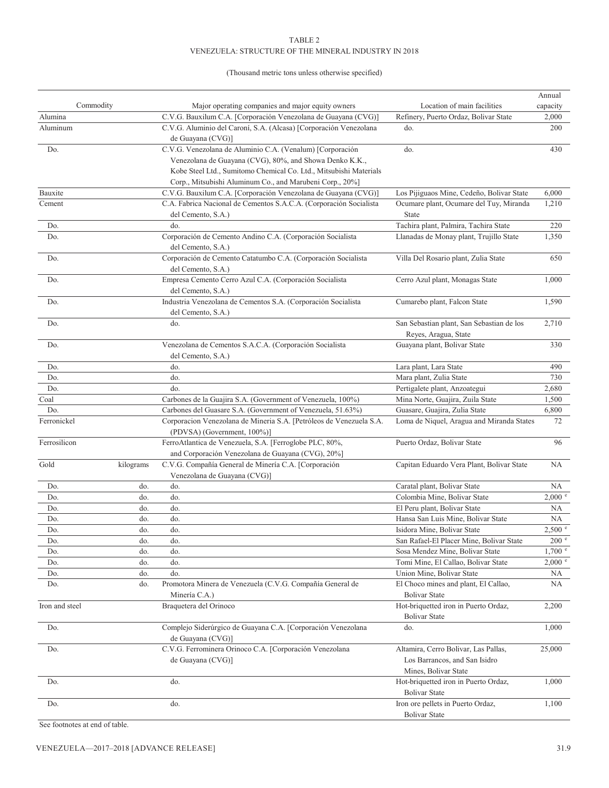#### TABLE 2 VENEZUELA: STRUCTURE OF THE MINERAL INDUSTRY IN 2018

#### (Thousand metric tons unless otherwise specified)

|                |           |                                                                                                                                                                                                                                                       |                                                                   | Annual            |
|----------------|-----------|-------------------------------------------------------------------------------------------------------------------------------------------------------------------------------------------------------------------------------------------------------|-------------------------------------------------------------------|-------------------|
|                | Commodity | Major operating companies and major equity owners                                                                                                                                                                                                     | Location of main facilities                                       | capacity          |
| Alumina        |           | C.V.G. Bauxilum C.A. [Corporación Venezolana de Guayana (CVG)]                                                                                                                                                                                        | Refinery, Puerto Ordaz, Bolivar State                             | 2,000             |
| Aluminum       |           | C.V.G. Aluminio del Caroní, S.A. (Alcasa) [Corporación Venezolana<br>de Guayana (CVG)]                                                                                                                                                                | do.                                                               | 200               |
| Do.            |           | C.V.G. Venezolana de Aluminio C.A. (Venalum) [Corporación<br>Venezolana de Guayana (CVG), 80%, and Showa Denko K.K.,<br>Kobe Steel Ltd., Sumitomo Chemical Co. Ltd., Mitsubishi Materials<br>Corp., Mitsubishi Aluminum Co., and Marubeni Corp., 20%] | do.                                                               | 430               |
| Bauxite        |           | C.V.G. Bauxilum C.A. [Corporación Venezolana de Guayana (CVG)]                                                                                                                                                                                        | Los Pijiguaos Mine, Cedeño, Bolivar State                         | 6,000             |
| Cement         |           | C.A. Fabrica Nacional de Cementos S.A.C.A. (Corporación Socialista<br>del Cemento, S.A.)                                                                                                                                                              | Ocumare plant, Ocumare del Tuy, Miranda<br><b>State</b>           | 1,210             |
| Do.            |           | do.                                                                                                                                                                                                                                                   | Tachira plant, Palmira, Tachira State                             | 220               |
| Do.            |           | Corporación de Cemento Andino C.A. (Corporación Socialista                                                                                                                                                                                            | Llanadas de Monay plant, Trujillo State                           | 1,350             |
|                |           | del Cemento, S.A.)                                                                                                                                                                                                                                    |                                                                   |                   |
| Do.            |           | Corporación de Cemento Catatumbo C.A. (Corporación Socialista<br>del Cemento, S.A.)                                                                                                                                                                   | Villa Del Rosario plant, Zulia State                              | 650               |
| Do.            |           | Empresa Cemento Cerro Azul C.A. (Corporación Socialista<br>del Cemento, S.A.)                                                                                                                                                                         | Cerro Azul plant, Monagas State                                   | 1,000             |
| Do.            |           | Industria Venezolana de Cementos S.A. (Corporación Socialista<br>del Cemento, S.A.)                                                                                                                                                                   | Cumarebo plant, Falcon State                                      | 1,590             |
| Do.            |           | do.                                                                                                                                                                                                                                                   | San Sebastian plant, San Sebastian de los<br>Reyes, Aragua, State | 2,710             |
| Do.            |           | Venezolana de Cementos S.A.C.A. (Corporación Socialista<br>del Cemento, S.A.)                                                                                                                                                                         | Guayana plant, Bolivar State                                      | 330               |
| Do.            |           | do.                                                                                                                                                                                                                                                   | Lara plant, Lara State                                            | 490               |
| Do.            |           | do.                                                                                                                                                                                                                                                   | Mara plant, Zulia State                                           | 730               |
| Do.            |           | do.                                                                                                                                                                                                                                                   | Pertigalete plant, Anzoategui                                     | 2,680             |
| Coal           |           | Carbones de la Guajira S.A. (Government of Venezuela, 100%)                                                                                                                                                                                           | Mina Norte, Guajira, Zuila State                                  | 1,500             |
| Do.            |           | Carbones del Guasare S.A. (Government of Venezuela, 51.63%)                                                                                                                                                                                           | Guasare, Guajira, Zulia State                                     | 6,800             |
| Ferronickel    |           | Corporacion Venezolana de Mineria S.A. [Petróleos de Venezuela S.A.<br>(PDVSA) (Government, 100%)]                                                                                                                                                    | Loma de Niquel, Aragua and Miranda States                         | 72                |
| Ferrosilicon   |           | FerroAtlantica de Venezuela, S.A. [Ferroglobe PLC, 80%,<br>and Corporación Venezolana de Guayana (CVG), 20%]                                                                                                                                          | Puerto Ordaz, Bolivar State                                       | 96                |
| Gold           | kilograms | C.V.G. Compañía General de Minería C.A. [Corporación<br>Venezolana de Guayana (CVG)]                                                                                                                                                                  | Capitan Eduardo Vera Plant, Bolivar State                         | NA                |
| Do.            | do.       | do.                                                                                                                                                                                                                                                   | Caratal plant, Bolivar State                                      | NA                |
| Do.            | do.       | do.                                                                                                                                                                                                                                                   | Colombia Mine, Bolivar State                                      | $2,000$ $\degree$ |
| Do.            | do.       | do.                                                                                                                                                                                                                                                   | El Peru plant, Bolivar State                                      | NA                |
| Do.            | do.       | do.                                                                                                                                                                                                                                                   | Hansa San Luis Mine, Bolivar State                                | NA                |
| Do.            | do.       | do.                                                                                                                                                                                                                                                   | Isidora Mine, Bolivar State                                       | 2,500 °           |
| Do.            | do.       | do.                                                                                                                                                                                                                                                   | San Rafael-El Placer Mine, Bolivar State                          | 200 <sup>°</sup>  |
| Do.            | do.       | do.                                                                                                                                                                                                                                                   | Sosa Mendez Mine, Bolivar State                                   | $1,700$ $\degree$ |
| Do.            | do.       | do.                                                                                                                                                                                                                                                   | Tomi Mine, El Callao, Bolivar State                               | 2,000 °           |
| Do.            | do.       | do.                                                                                                                                                                                                                                                   | Union Mine, Bolivar State                                         | NA                |
| Do.            | do.       | Promotora Minera de Venezuela (C.V.G. Compañía General de                                                                                                                                                                                             | El Choco mines and plant, El Callao,                              | NA                |
|                |           | Minería C.A.)                                                                                                                                                                                                                                         | <b>Bolivar State</b>                                              |                   |
| Iron and steel |           | Braquetera del Orinoco                                                                                                                                                                                                                                | Hot-briquetted iron in Puerto Ordaz,                              | 2,200             |
|                |           |                                                                                                                                                                                                                                                       | <b>Bolivar State</b>                                              |                   |
| Do.            |           | Complejo Siderúrgico de Guayana C.A. [Corporación Venezolana<br>de Guayana (CVG)]                                                                                                                                                                     | do.                                                               | 1,000             |
| Do.            |           | C.V.G. Ferrominera Orinoco C.A. [Corporación Venezolana                                                                                                                                                                                               | Altamira, Cerro Bolivar, Las Pallas,                              | 25,000            |
|                |           | de Guayana (CVG)]                                                                                                                                                                                                                                     | Los Barrancos, and San Isidro<br>Mines, Bolivar State             |                   |
| Do.            |           | do.                                                                                                                                                                                                                                                   | Hot-briquetted iron in Puerto Ordaz,                              | 1,000             |
|                |           |                                                                                                                                                                                                                                                       | <b>Bolivar State</b>                                              |                   |
| Do.            |           | do.                                                                                                                                                                                                                                                   | Iron ore pellets in Puerto Ordaz,<br><b>Bolivar State</b>         | 1,100             |

See footnotes at end of table.